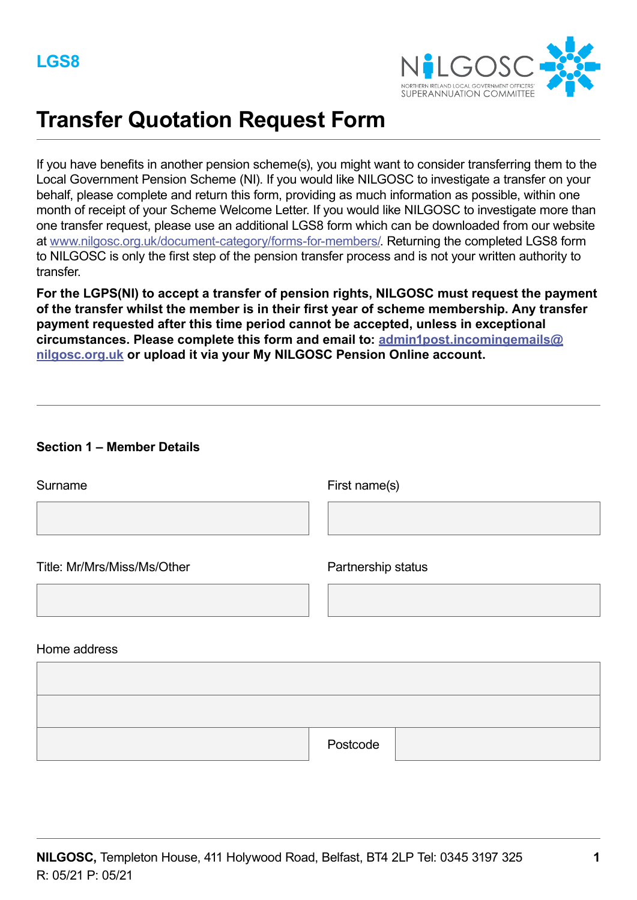

# **Transfer Quotation Request Form**

If you have benefits in another pension scheme(s), you might want to consider transferring them to the Local Government Pension Scheme (NI). If you would like NILGOSC to investigate a transfer on your behalf, please complete and return this form, providing as much information as possible, within one month of receipt of your Scheme Welcome Letter. If you would like NILGOSC to investigate more than one transfer request, please use an additional LGS8 form which can be downloaded from our website at [www.nilgosc.org.uk/document-category/forms-for-members/](www.nilgosc.org.uk/document-category/forms-for-members). Returning the completed LGS8 form to NILGOSC is only the first step of the pension transfer process and is not your written authority to transfer.

**For the LGPS(NI) to accept a transfer of pension rights, NILGOSC must request the payment of the transfer whilst the member is in their first year of scheme membership. Any transfer payment requested after this time period cannot be accepted, unless in exceptional circumstances. Please complete this form and email to: admin1post.incomingemails@ nilgosc.org.uk or upload it via your My NILGOSC Pension Online account.**

| <b>Section 1 - Member Details</b> |                    |
|-----------------------------------|--------------------|
| Surname                           | First name(s)      |
|                                   |                    |
| Title: Mr/Mrs/Miss/Ms/Other       | Partnership status |
|                                   |                    |
| Home address                      |                    |
|                                   |                    |
|                                   |                    |

Postcode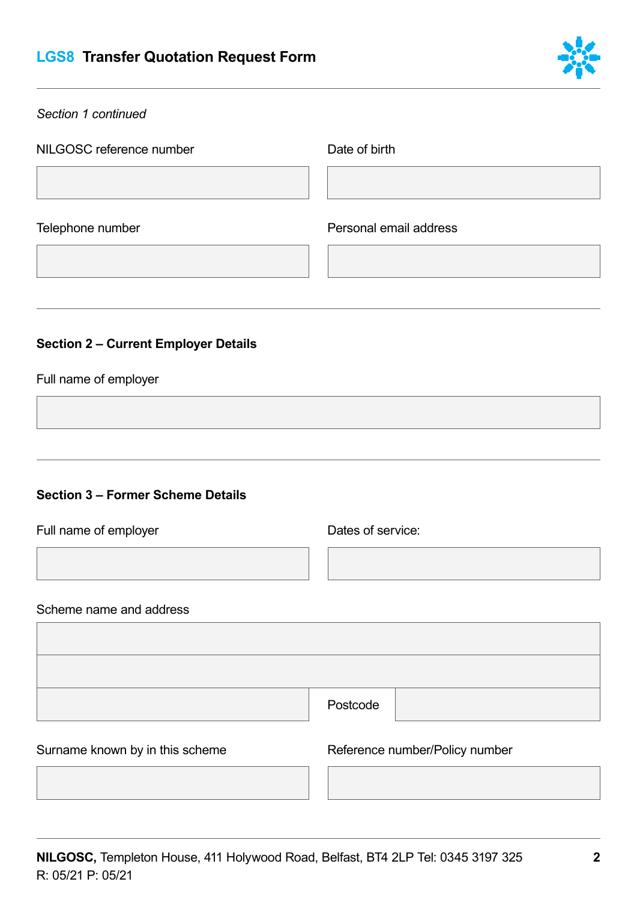# **LGS8 Transfer Quotation Request Form**



#### *Section 1 continued*

NILGOSC reference number Date of birth

Telephone number

Personal email address

## **Section 2 – Current Employer Details**

#### Full name of employer

# **Section 3 – Former Scheme Details**

Full name of employer

Dates of service:

#### Scheme name and address

of service:<br>
<u>ode</u><br>
ence number/Policy Postcode

Surname known by in this scheme Reference number/Policy number